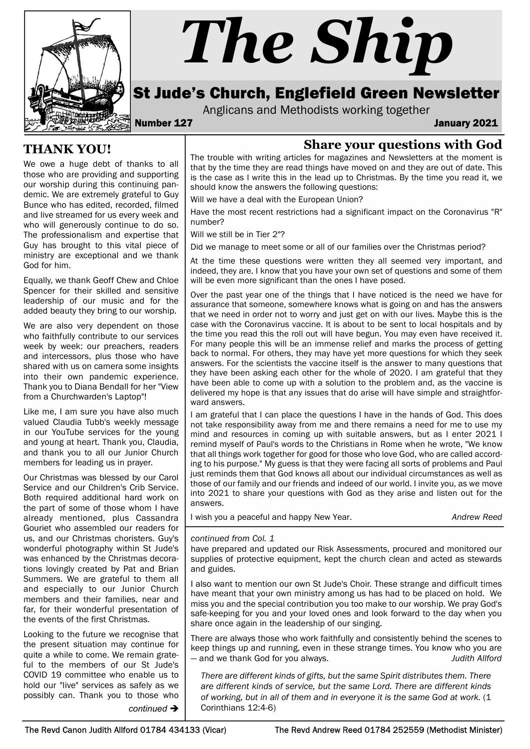

# The Ship

# St Jude's Church, Englefield Green Newsletter

Anglicans and Methodists working together

Number 127 January 2021

## Share your questions with God

The trouble with writing articles for magazines and Newsletters at the moment is that by the time they are read things have moved on and they are out of date. This is the case as I write this in the lead up to Christmas. By the time you read it, we should know the answers the following questions:

Will we have a deal with the European Union?

Have the most recent restrictions had a significant impact on the Coronavirus "R" number?

Will we still be in Tier 2"?

Did we manage to meet some or all of our families over the Christmas period?

At the time these questions were written they all seemed very important, and indeed, they are. I know that you have your own set of questions and some of them will be even more significant than the ones I have posed.

Over the past year one of the things that I have noticed is the need we have for assurance that someone, somewhere knows what is going on and has the answers that we need in order not to worry and just get on with our lives. Maybe this is the case with the Coronavirus vaccine. It is about to be sent to local hospitals and by the time you read this the roll out will have begun. You may even have received it. For many people this will be an immense relief and marks the process of getting back to normal. For others, they may have yet more questions for which they seek answers. For the scientists the vaccine itself is the answer to many questions that they have been asking each other for the whole of 2020. I am grateful that they have been able to come up with a solution to the problem and, as the vaccine is delivered my hope is that any issues that do arise will have simple and straightforward answers.

I am grateful that I can place the questions I have in the hands of God. This does not take responsibility away from me and there remains a need for me to use my mind and resources in coming up with suitable answers, but as I enter 2021 I remind myself of Paul's words to the Christians in Rome when he wrote, "We know that all things work together for good for those who love God, who are called according to his purpose." My guess is that they were facing all sorts of problems and Paul just reminds them that God knows all about our individual circumstances as well as those of our family and our friends and indeed of our world. I invite you, as we move into 2021 to share your questions with God as they arise and listen out for the answers.

I wish you a peaceful and happy New Year. Andrew Reed

#### continued from Col. 1

have prepared and updated our Risk Assessments, procured and monitored our supplies of protective equipment, kept the church clean and acted as stewards and guides.

I also want to mention our own St Jude's Choir. These strange and difficult times have meant that your own ministry among us has had to be placed on hold. We miss you and the special contribution you too make to our worship. We pray God's safe-keeping for you and your loved ones and look forward to the day when you share once again in the leadership of our singing.

There are always those who work faithfully and consistently behind the scenes to keep things up and running, even in these strange times. You know who you are — and we thank God for you always. The same state of the state of the state of the state of the state of the state of the state of the state of the state of the state of the state of the state of the state of the state of

There are different kinds of gifts, but the same Spirit distributes them. There are different kinds of service, but the same Lord. There are different kinds of working, but in all of them and in everyone it is the same God at work. (1 continued  $\rightarrow$  Corinthians 12:4-6)

THANK YOU!

We owe a huge debt of thanks to all those who are providing and supporting our worship during this continuing pandemic. We are extremely grateful to Guy Bunce who has edited, recorded, filmed and live streamed for us every week and who will generously continue to do so. The professionalism and expertise that Guy has brought to this vital piece of ministry are exceptional and we thank God for him.

Equally, we thank Geoff Chew and Chloe Spencer for their skilled and sensitive leadership of our music and for the added beauty they bring to our worship.

We are also very dependent on those who faithfully contribute to our services week by week: our preachers, readers and intercessors, plus those who have shared with us on camera some insights into their own pandemic experience. Thank you to Diana Bendall for her "View from a Churchwarden's Laptop"!

Like me, I am sure you have also much valued Claudia Tubb's weekly message in our YouTube services for the young and young at heart. Thank you, Claudia, and thank you to all our Junior Church members for leading us in prayer.

Our Christmas was blessed by our Carol Service and our Children's Crib Service. Both required additional hard work on the part of some of those whom I have already mentioned, plus Cassandra Gouriet who assembled our readers for us, and our Christmas choristers. Guy's wonderful photography within St Jude's was enhanced by the Christmas decorations lovingly created by Pat and Brian Summers. We are grateful to them all and especially to our Junior Church members and their families, near and far, for their wonderful presentation of the events of the first Christmas.

Looking to the future we recognise that the present situation may continue for quite a while to come. We remain grateful to the members of our St Jude's COVID 19 committee who enable us to hold our "live" services as safely as we possibly can. Thank you to those who